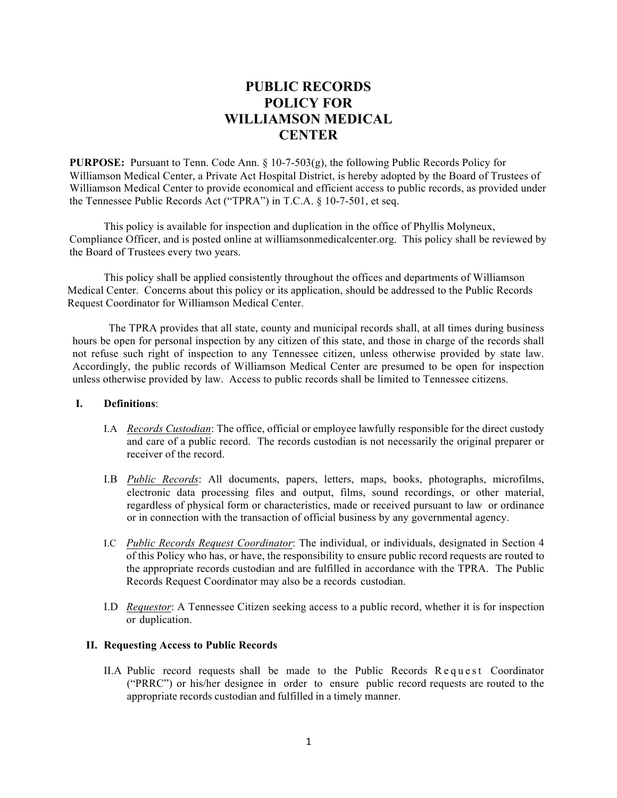# **PUBLIC RECORDS POLICY FOR WILLIAMSON MEDICAL CENTER**

**PURPOSE:** Pursuant to Tenn. Code Ann. § 10-7-503(g), the following Public Records Policy for Williamson Medical Center, a Private Act Hospital District, is hereby adopted by the Board of Trustees of Williamson Medical Center to provide economical and efficient access to public records, as provided under the Tennessee Public Records Act ("TPRA") in T.C.A. § 10-7-501, et seq.

This policy is available for inspection and duplication in the office of Phyllis Molyneux, Compliance Officer, and is posted online at williamsonmedicalcenter.org. This policy shall be reviewed by the Board of Trustees every two years.

This policy shall be applied consistently throughout the offices and departments of Williamson Medical Center. Concerns about this policy or its application, should be addressed to the Public Records Request Coordinator for Williamson Medical Center.

The TPRA provides that all state, county and municipal records shall, at all times during business hours be open for personal inspection by any citizen of this state, and those in charge of the records shall not refuse such right of inspection to any Tennessee citizen, unless otherwise provided by state law. Accordingly, the public records of Williamson Medical Center are presumed to be open for inspection unless otherwise provided by law. Access to public records shall be limited to Tennessee citizens.

## **I. Definitions**:

- I.A *Records Custodian*: The office, official or employee lawfully responsible for the direct custody and care of a public record. The records custodian is not necessarily the original preparer or receiver of the record.
- I.B *Public Records*: All documents, papers, letters, maps, books, photographs, microfilms, electronic data processing files and output, films, sound recordings, or other material, regardless of physical form or characteristics, made or received pursuant to law or ordinance or in connection with the transaction of official business by any governmental agency.
- I.C *Public Records Request Coordinator*: The individual, or individuals, designated in Section 4 of this Policy who has, or have, the responsibility to ensure public record requests are routed to the appropriate records custodian and are fulfilled in accordance with the TPRA. The Public Records Request Coordinator may also be a records custodian.
- I.D *Requestor*: A Tennessee Citizen seeking access to a public record, whether it is for inspection or duplication.

# **II. Requesting Access to Public Records**

II.A Public record requests shall be made to the Public Records Request Coordinator ("PRRC") or his/her designee in order to ensure public record requests are routed to the appropriate records custodian and fulfilled in a timely manner.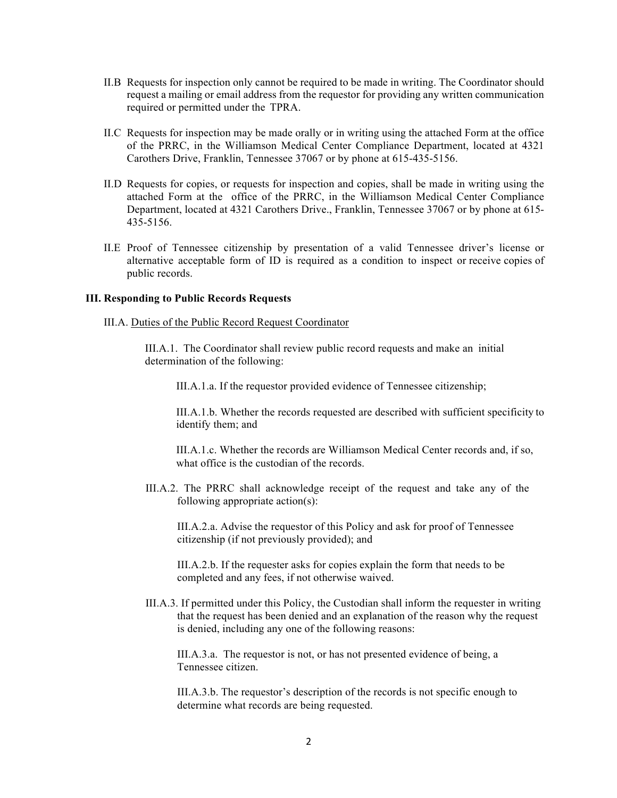- II.B Requests for inspection only cannot be required to be made in writing. The Coordinator should request a mailing or email address from the requestor for providing any written communication required or permitted under the TPRA.
- II.C Requests for inspection may be made orally or in writing using the attached Form at the office of the PRRC, in the Williamson Medical Center Compliance Department, located at 4321 Carothers Drive, Franklin, Tennessee 37067 or by phone at 615-435-5156.
- II.D Requests for copies, or requests for inspection and copies, shall be made in writing using the attached Form at the office of the PRRC, in the Williamson Medical Center Compliance Department, located at 4321 Carothers Drive., Franklin, Tennessee 37067 or by phone at 615- 435-5156.
- II.E Proof of Tennessee citizenship by presentation of a valid Tennessee driver's license or alternative acceptable form of ID is required as a condition to inspect or receive copies of public records.

#### **III. Responding to Public Records Requests**

III.A. Duties of the Public Record Request Coordinator

III.A.1. The Coordinator shall review public record requests and make an initial determination of the following:

III.A.1.a. If the requestor provided evidence of Tennessee citizenship;

III.A.1.b. Whether the records requested are described with sufficient specificity to identify them; and

III.A.1.c. Whether the records are Williamson Medical Center records and, if so, what office is the custodian of the records.

III.A.2. The PRRC shall acknowledge receipt of the request and take any of the following appropriate action(s):

III.A.2.a. Advise the requestor of this Policy and ask for proof of Tennessee citizenship (if not previously provided); and

III.A.2.b. If the requester asks for copies explain the form that needs to be completed and any fees, if not otherwise waived.

III.A.3. If permitted under this Policy, the Custodian shall inform the requester in writing that the request has been denied and an explanation of the reason why the request is denied, including any one of the following reasons:

III.A.3.a. The requestor is not, or has not presented evidence of being, a Tennessee citizen.

III.A.3.b. The requestor's description of the records is not specific enough to determine what records are being requested.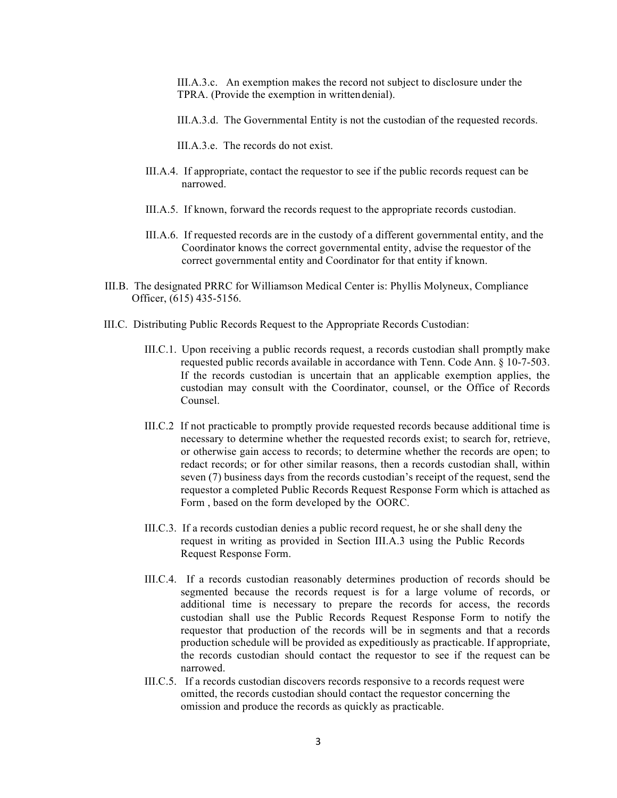III.A.3.c. An exemption makes the record not subject to disclosure under the TPRA. (Provide the exemption in writtendenial).

- III.A.3.d. The Governmental Entity is not the custodian of the requested records.
- III.A.3.e. The records do not exist.
- III.A.4. If appropriate, contact the requestor to see if the public records request can be narrowed.
- III.A.5. If known, forward the records request to the appropriate records custodian.
- III.A.6. If requested records are in the custody of a different governmental entity, and the Coordinator knows the correct governmental entity, advise the requestor of the correct governmental entity and Coordinator for that entity if known.
- III.B. The designated PRRC for Williamson Medical Center is: Phyllis Molyneux, Compliance Officer, (615) 435-5156.
- III.C. Distributing Public Records Request to the Appropriate Records Custodian:
	- III.C.1. Upon receiving a public records request, a records custodian shall promptly make requested public records available in accordance with Tenn. Code Ann. § 10-7-503. If the records custodian is uncertain that an applicable exemption applies, the custodian may consult with the Coordinator, counsel, or the Office of Records Counsel.
	- III.C.2 If not practicable to promptly provide requested records because additional time is necessary to determine whether the requested records exist; to search for, retrieve, or otherwise gain access to records; to determine whether the records are open; to redact records; or for other similar reasons, then a records custodian shall, within seven (7) business days from the records custodian's receipt of the request, send the requestor a completed Public Records Request Response Form which is attached as Form , based on the form developed by the OORC.
	- III.C.3. If a records custodian denies a public record request, he or she shall deny the request in writing as provided in Section III.A.3 using the Public Records Request Response Form.
	- III.C.4. If a records custodian reasonably determines production of records should be segmented because the records request is for a large volume of records, or additional time is necessary to prepare the records for access, the records custodian shall use the Public Records Request Response Form to notify the requestor that production of the records will be in segments and that a records production schedule will be provided as expeditiously as practicable. If appropriate, the records custodian should contact the requestor to see if the request can be narrowed.
	- III.C.5. If a records custodian discovers records responsive to a records request were omitted, the records custodian should contact the requestor concerning the omission and produce the records as quickly as practicable.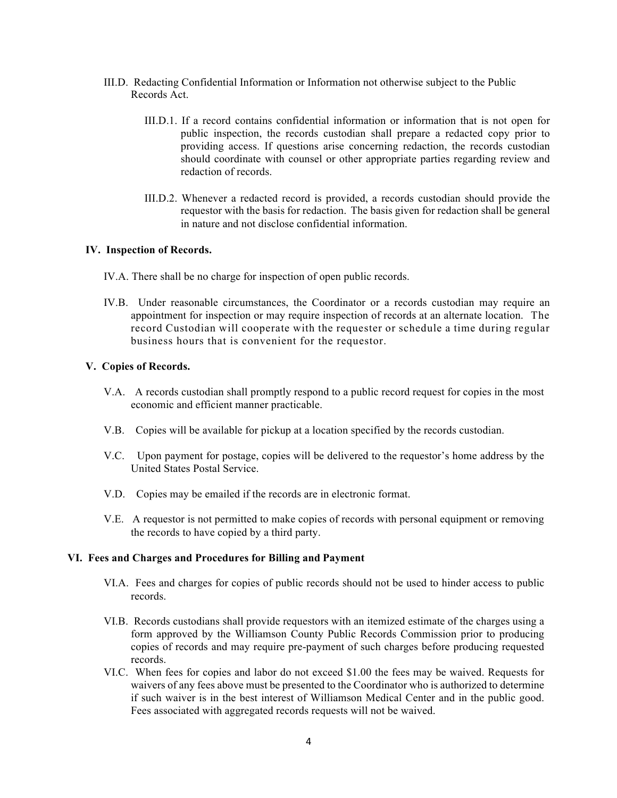- III.D. Redacting Confidential Information or Information not otherwise subject to the Public Records Act.
	- III.D.1. If a record contains confidential information or information that is not open for public inspection, the records custodian shall prepare a redacted copy prior to providing access. If questions arise concerning redaction, the records custodian should coordinate with counsel or other appropriate parties regarding review and redaction of records.
	- III.D.2. Whenever a redacted record is provided, a records custodian should provide the requestor with the basis for redaction. The basis given for redaction shall be general in nature and not disclose confidential information.

#### **IV. Inspection of Records.**

- IV.A. There shall be no charge for inspection of open public records.
- IV.B. Under reasonable circumstances, the Coordinator or a records custodian may require an appointment for inspection or may require inspection of records at an alternate location. The record Custodian will cooperate with the requester or schedule a time during regular business hours that is convenient for the requestor.

#### **V. Copies of Records.**

- V.A.A records custodian shall promptly respond to a public record request for copies in the most economic and efficient manner practicable.
- V.B. Copies will be available for pickup at a location specified by the records custodian.
- V.C. Upon payment for postage, copies will be delivered to the requestor's home address by the United States Postal Service.
- V.D. Copies may be emailed if the records are in electronic format.
- V.E. A requestor is not permitted to make copies of records with personal equipment or removing the records to have copied by a third party.

#### **VI. Fees and Charges and Procedures for Billing and Payment**

- VI.A. Fees and charges for copies of public records should not be used to hinder access to public records.
- VI.B. Records custodians shall provide requestors with an itemized estimate of the charges using a form approved by the Williamson County Public Records Commission prior to producing copies of records and may require pre-payment of such charges before producing requested records.
- VI.C. When fees for copies and labor do not exceed \$1.00 the fees may be waived. Requests for waivers of any fees above must be presented to the Coordinator who is authorized to determine if such waiver is in the best interest of Williamson Medical Center and in the public good. Fees associated with aggregated records requests will not be waived.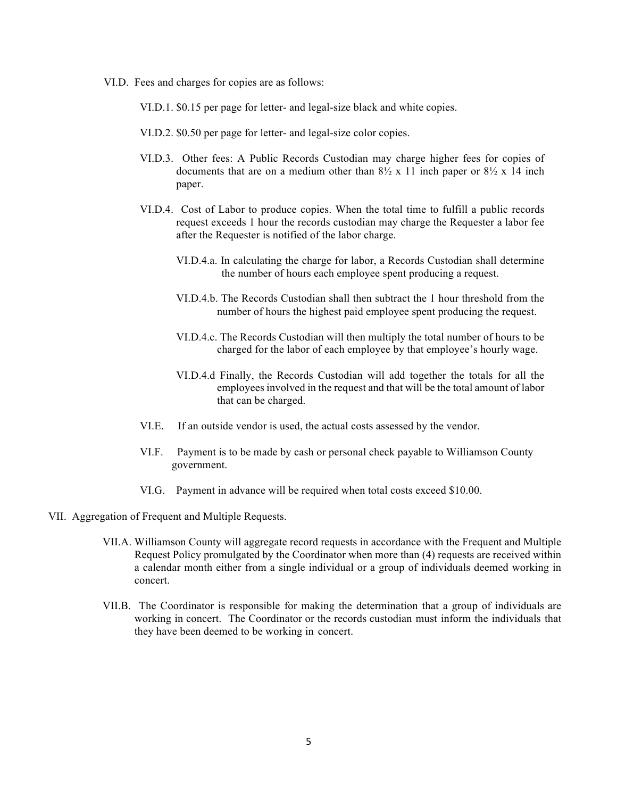VI.D. Fees and charges for copies are as follows:

VI.D.1. \$0.15 per page for letter- and legal-size black and white copies.

- VI.D.2. \$0.50 per page for letter- and legal-size color copies.
- VI.D.3. Other fees: A Public Records Custodian may charge higher fees for copies of documents that are on a medium other than  $8\frac{1}{2}$  x 11 inch paper or  $8\frac{1}{2}$  x 14 inch paper.
- VI.D.4. Cost of Labor to produce copies. When the total time to fulfill a public records request exceeds 1 hour the records custodian may charge the Requester a labor fee after the Requester is notified of the labor charge.
	- VI.D.4.a. In calculating the charge for labor, a Records Custodian shall determine the number of hours each employee spent producing a request.
	- VI.D.4.b. The Records Custodian shall then subtract the 1 hour threshold from the number of hours the highest paid employee spent producing the request.
	- VI.D.4.c. The Records Custodian will then multiply the total number of hours to be charged for the labor of each employee by that employee's hourly wage.
	- VI.D.4.d Finally, the Records Custodian will add together the totals for all the employees involved in the request and that will be the total amount of labor that can be charged.
- VI.E. If an outside vendor is used, the actual costs assessed by the vendor.
- VI.F. Payment is to be made by cash or personal check payable to Williamson County government.
- VI.G. Payment in advance will be required when total costs exceed \$10.00.
- VII. Aggregation of Frequent and Multiple Requests.
	- VII.A. Williamson County will aggregate record requests in accordance with the Frequent and Multiple Request Policy promulgated by the Coordinator when more than (4) requests are received within a calendar month either from a single individual or a group of individuals deemed working in concert.
	- VII.B. The Coordinator is responsible for making the determination that a group of individuals are working in concert. The Coordinator or the records custodian must inform the individuals that they have been deemed to be working in concert.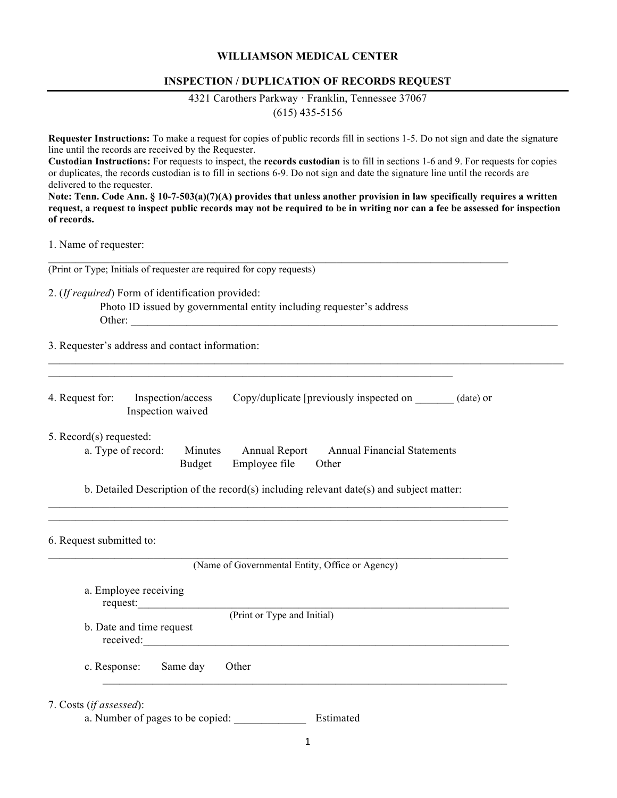## **WILLIAMSON MEDICAL CENTER**

## **INSPECTION / DUPLICATION OF RECORDS REQUEST**

4321 Carothers Parkway · Franklin, Tennessee 37067

(615) 435-5156

**Requester Instructions:** To make a request for copies of public records fill in sections 1-5. Do not sign and date the signature line until the records are received by the Requester.

**Custodian Instructions:** For requests to inspect, the **records custodian** is to fill in sections 1-6 and 9. For requests for copies or duplicates, the records custodian is to fill in sections 6-9. Do not sign and date the signature line until the records are delivered to the requester.

**Note: Tenn. Code Ann. § 10-7-503(a)(7)(A) provides that unless another provision in law specifically requires a written request, a request to inspect public records may not be required to be in writing nor can a fee be assessed for inspection of records.** 

 $\mathcal{L}_\mathcal{L} = \{ \mathcal{L}_\mathcal{L} = \{ \mathcal{L}_\mathcal{L} = \{ \mathcal{L}_\mathcal{L} = \{ \mathcal{L}_\mathcal{L} = \{ \mathcal{L}_\mathcal{L} = \{ \mathcal{L}_\mathcal{L} = \{ \mathcal{L}_\mathcal{L} = \{ \mathcal{L}_\mathcal{L} = \{ \mathcal{L}_\mathcal{L} = \{ \mathcal{L}_\mathcal{L} = \{ \mathcal{L}_\mathcal{L} = \{ \mathcal{L}_\mathcal{L} = \{ \mathcal{L}_\mathcal{L} = \{ \mathcal{L}_\mathcal{$ 

1. Name of requester:

(Print or Type; Initials of requester are required for copy requests)

2. (*If required*) Form of identification provided:

 Photo ID issued by governmental entity including requester's address Other: \_\_\_\_\_\_\_\_\_\_\_\_\_\_\_\_\_\_\_\_\_\_\_\_\_\_\_\_\_\_\_\_\_\_\_\_\_\_\_\_\_\_\_\_\_\_\_\_\_\_\_\_\_\_\_\_\_\_\_\_\_\_\_\_\_\_\_\_\_\_\_\_\_\_\_\_\_

 $\mathcal{L}_\mathcal{L} = \{ \mathcal{L}_\mathcal{L} = \{ \mathcal{L}_\mathcal{L} = \{ \mathcal{L}_\mathcal{L} = \{ \mathcal{L}_\mathcal{L} = \{ \mathcal{L}_\mathcal{L} = \{ \mathcal{L}_\mathcal{L} = \{ \mathcal{L}_\mathcal{L} = \{ \mathcal{L}_\mathcal{L} = \{ \mathcal{L}_\mathcal{L} = \{ \mathcal{L}_\mathcal{L} = \{ \mathcal{L}_\mathcal{L} = \{ \mathcal{L}_\mathcal{L} = \{ \mathcal{L}_\mathcal{L} = \{ \mathcal{L}_\mathcal{$ 

3. Requester's address and contact information:

| 4. Request for: | Inspection/access | Copy/duplicate [previously inspected on | (date) or |
|-----------------|-------------------|-----------------------------------------|-----------|
|                 | Inspection waived |                                         |           |

 $\mathcal{L}_\mathcal{L} = \mathcal{L}_\mathcal{L} = \mathcal{L}_\mathcal{L} = \mathcal{L}_\mathcal{L} = \mathcal{L}_\mathcal{L} = \mathcal{L}_\mathcal{L} = \mathcal{L}_\mathcal{L} = \mathcal{L}_\mathcal{L} = \mathcal{L}_\mathcal{L} = \mathcal{L}_\mathcal{L} = \mathcal{L}_\mathcal{L} = \mathcal{L}_\mathcal{L} = \mathcal{L}_\mathcal{L} = \mathcal{L}_\mathcal{L} = \mathcal{L}_\mathcal{L} = \mathcal{L}_\mathcal{L} = \mathcal{L}_\mathcal{L}$ 

5. Record(s) requested:

| a. Type of record: | Minutes | Annual Report              | <b>Annual Financial Statements</b> |
|--------------------|---------|----------------------------|------------------------------------|
|                    |         | Budget Employee file Other |                                    |

b. Detailed Description of the record(s) including relevant date(s) and subject matter:  $\mathcal{L}_\mathcal{L} = \mathcal{L}_\mathcal{L} = \mathcal{L}_\mathcal{L} = \mathcal{L}_\mathcal{L} = \mathcal{L}_\mathcal{L} = \mathcal{L}_\mathcal{L} = \mathcal{L}_\mathcal{L} = \mathcal{L}_\mathcal{L} = \mathcal{L}_\mathcal{L} = \mathcal{L}_\mathcal{L} = \mathcal{L}_\mathcal{L} = \mathcal{L}_\mathcal{L} = \mathcal{L}_\mathcal{L} = \mathcal{L}_\mathcal{L} = \mathcal{L}_\mathcal{L} = \mathcal{L}_\mathcal{L} = \mathcal{L}_\mathcal{L}$ 

 $\mathcal{L}_\mathcal{L} = \mathcal{L}_\mathcal{L} = \mathcal{L}_\mathcal{L} = \mathcal{L}_\mathcal{L} = \mathcal{L}_\mathcal{L} = \mathcal{L}_\mathcal{L} = \mathcal{L}_\mathcal{L} = \mathcal{L}_\mathcal{L} = \mathcal{L}_\mathcal{L} = \mathcal{L}_\mathcal{L} = \mathcal{L}_\mathcal{L} = \mathcal{L}_\mathcal{L} = \mathcal{L}_\mathcal{L} = \mathcal{L}_\mathcal{L} = \mathcal{L}_\mathcal{L} = \mathcal{L}_\mathcal{L} = \mathcal{L}_\mathcal{L}$ 

 $\mathcal{L}_\mathcal{L} = \mathcal{L}_\mathcal{L} = \mathcal{L}_\mathcal{L} = \mathcal{L}_\mathcal{L} = \mathcal{L}_\mathcal{L} = \mathcal{L}_\mathcal{L} = \mathcal{L}_\mathcal{L} = \mathcal{L}_\mathcal{L} = \mathcal{L}_\mathcal{L} = \mathcal{L}_\mathcal{L} = \mathcal{L}_\mathcal{L} = \mathcal{L}_\mathcal{L} = \mathcal{L}_\mathcal{L} = \mathcal{L}_\mathcal{L} = \mathcal{L}_\mathcal{L} = \mathcal{L}_\mathcal{L} = \mathcal{L}_\mathcal{L}$ 

| 6. Request submitted to: |  |  |  |  |  |  |
|--------------------------|--|--|--|--|--|--|
|--------------------------|--|--|--|--|--|--|

| a. Employee receiving                 |          |                             |
|---------------------------------------|----------|-----------------------------|
| request:                              |          | (Print or Type and Initial) |
| b. Date and time request<br>received: |          |                             |
| c. Response:                          | Same day | Other                       |
|                                       |          |                             |

a. Number of pages to be copied: Estimated